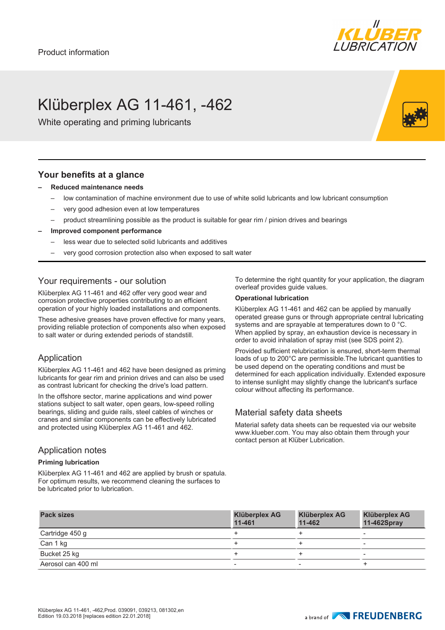

# Klüberplex AG 11-461, -462

White operating and priming lubricants

#### **Your benefits at a glance**

- **– Reduced maintenance needs**
	- low contamination of machine environment due to use of white solid lubricants and low lubricant consumption
	- very good adhesion even at low temperatures
	- product streamlining possible as the product is suitable for gear rim / pinion drives and bearings
- **– Improved component performance**
	- less wear due to selected solid lubricants and additives
	- very good corrosion protection also when exposed to salt water

### Your requirements - our solution

Klüberplex AG 11-461 and 462 offer very good wear and corrosion protective properties contributing to an efficient operation of your highly loaded installations and components.

These adhesive greases have proven effective for many years, providing reliable protection of components also when exposed to salt water or during extended periods of standstill.

### Application

Klüberplex AG 11-461 and 462 have been designed as priming lubricants for gear rim and prinion drives and can also be used as contrast lubricant for checking the drive's load pattern.

In the offshore sector, marine applications and wind power stations subject to salt water, open gears, low-speed rolling bearings, sliding and guide rails, steel cables of winches or cranes and similar components can be effectively lubricated and protected using Klüberplex AG 11-461 and 462.

#### Application notes

#### **Priming lubrication**

Klüberplex AG 11-461 and 462 are applied by brush or spatula. For optimum results, we recommend cleaning the surfaces to be lubricated prior to lubrication.

To determine the right quantity for your application, the diagram overleaf provides guide values.

#### **Operational lubrication**

Klüberplex AG 11-461 and 462 can be applied by manually operated grease guns or through appropriate central lubricating systems and are sprayable at temperatures down to 0 °C. When applied by spray, an exhaustion device is necessary in order to avoid inhalation of spray mist (see SDS point 2).

Provided sufficient relubrication is ensured, short-term thermal loads of up to 200°C are permissible.The lubricant quantities to be used depend on the operating conditions and must be determined for each application individually. Extended exposure to intense sunlight may slightly change the lubricant's surface colour without affecting its performance.

### Material safety data sheets

Material safety data sheets can be requested via our website www.klueber.com. You may also obtain them through your contact person at Klüber Lubrication.

| <b>Pack sizes</b>  | <b>Klüberplex AG</b><br>11-461 | <b>Klüberplex AG</b><br>11-462 | <b>Klüberplex AG</b><br>11-462Spray |
|--------------------|--------------------------------|--------------------------------|-------------------------------------|
| Cartridge 450 g    |                                |                                |                                     |
| Can 1 kg           |                                |                                |                                     |
| Bucket 25 kg       |                                |                                |                                     |
| Aerosol can 400 ml |                                | $\overline{\phantom{a}}$       |                                     |

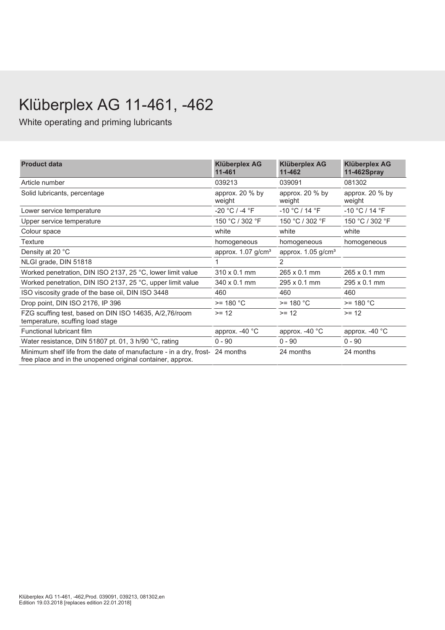# Klüberplex AG 11-461, -462

White operating and priming lubricants

| <b>Product data</b>                                                                                                                        | <b>Klüberplex AG</b><br>11-461   | <b>Klüberplex AG</b><br>11-462       | <b>Klüberplex AG</b><br>11-462Spray |  |
|--------------------------------------------------------------------------------------------------------------------------------------------|----------------------------------|--------------------------------------|-------------------------------------|--|
| Article number                                                                                                                             | 039213                           | 039091                               | 081302                              |  |
| Solid lubricants, percentage                                                                                                               | approx. 20 % by<br>weight        | approx. 20 % by<br>weight            | approx. 20 % by<br>weight           |  |
| Lower service temperature                                                                                                                  | $-20 °C / -4 °F$                 | $-10 °C / 14 °F$<br>$-10 °C / 14 °F$ |                                     |  |
| Upper service temperature                                                                                                                  | 150 °C / 302 °F                  | 150 °C / 302 °F<br>150 °C / 302 °F   |                                     |  |
| Colour space                                                                                                                               | white                            | white                                | white                               |  |
| <b>Texture</b>                                                                                                                             | homogeneous                      | homogeneous                          | homogeneous                         |  |
| Density at 20 °C                                                                                                                           | approx. $1.07$ g/cm <sup>3</sup> | approx. 1.05 g/cm <sup>3</sup>       |                                     |  |
| NLGI grade, DIN 51818                                                                                                                      |                                  | 2                                    |                                     |  |
| Worked penetration, DIN ISO 2137, 25 °C, lower limit value                                                                                 | 310 x 0.1 mm                     | 265 x 0.1 mm                         | $265 \times 0.1$ mm                 |  |
| Worked penetration, DIN ISO 2137, 25 °C, upper limit value                                                                                 | $340 \times 0.1$ mm              | 295 x 0.1 mm                         | $295 \times 0.1$ mm                 |  |
| ISO viscosity grade of the base oil, DIN ISO 3448                                                                                          | 460                              | 460                                  | 460                                 |  |
| Drop point, DIN ISO 2176, IP 396                                                                                                           | $>= 180 °C$                      | $>= 180 °C$                          | $>= 180 °C$                         |  |
| FZG scuffing test, based on DIN ISO 14635, A/2,76/room<br>temperature, scuffing load stage                                                 | $>= 12$                          | $>= 12$                              | $>= 12$                             |  |
| Functional lubricant film                                                                                                                  | approx. $-40$ °C                 | approx. -40 °C                       | approx. -40 °C                      |  |
| Water resistance, DIN 51807 pt. 01, 3 h/90 °C, rating                                                                                      | $0 - 90$                         | $0 - 90$                             | $0 - 90$                            |  |
| Minimum shelf life from the date of manufacture - in a dry, frost- 24 months<br>free place and in the unopened original container, approx. |                                  | 24 months                            | 24 months                           |  |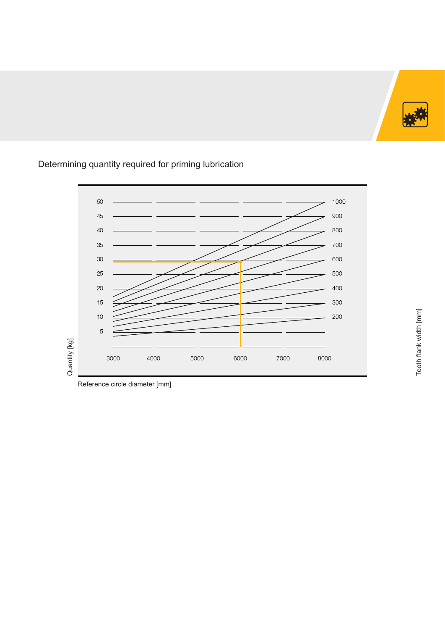

#### Quantity [kg] Quantity [kg] 4000 5000 6000 7000 8000

## Determining quantity required for priming lubrication

Reference circle diameter [mm]